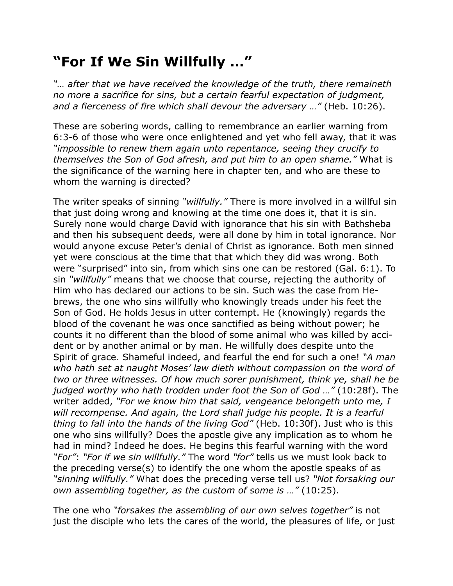## **"For If We Sin Willfully …"**

*"… after that we have received the knowledge of the truth, there remaineth no more a sacrifice for sins, but a certain fearful expectation of judgment, and a fierceness of fire which shall devour the adversary …"* (Heb. 10:26).

These are sobering words, calling to remembrance an earlier warning from 6:3-6 of those who were once enlightened and yet who fell away, that it was *"impossible to renew them again unto repentance, seeing they crucify to themselves the Son of God afresh, and put him to an open shame."* What is the significance of the warning here in chapter ten, and who are these to whom the warning is directed?

The writer speaks of sinning *"willfully."* There is more involved in a willful sin that just doing wrong and knowing at the time one does it, that it is sin. Surely none would charge David with ignorance that his sin with Bathsheba and then his subsequent deeds, were all done by him in total ignorance. Nor would anyone excuse Peter's denial of Christ as ignorance. Both men sinned yet were conscious at the time that that which they did was wrong. Both were "surprised" into sin, from which sins one can be restored (Gal. 6:1). To sin *"willfully"* means that we choose that course, rejecting the authority of Him who has declared our actions to be sin. Such was the case from Hebrews, the one who sins willfully who knowingly treads under his feet the Son of God. He holds Jesus in utter contempt. He (knowingly) regards the blood of the covenant he was once sanctified as being without power; he counts it no different than the blood of some animal who was killed by accident or by another animal or by man. He willfully does despite unto the Spirit of grace. Shameful indeed, and fearful the end for such a one! *"A man who hath set at naught Moses' law dieth without compassion on the word of two or three witnesses. Of how much sorer punishment, think ye, shall he be judged worthy who hath trodden under foot the Son of God …"* (10:28f). The writer added, *"For we know him that said, vengeance belongeth unto me, I will recompense. And again, the Lord shall judge his people. It is a fearful thing to fall into the hands of the living God"* (Heb. 10:30f). Just who is this one who sins willfully? Does the apostle give any implication as to whom he had in mind? Indeed he does. He begins this fearful warning with the word *"For"*: *"For if we sin willfully."* The word *"for"* tells us we must look back to the preceding verse(s) to identify the one whom the apostle speaks of as *"sinning willfully."* What does the preceding verse tell us? *"Not forsaking our own assembling together, as the custom of some is …"* (10:25).

The one who *"forsakes the assembling of our own selves together"* is not just the disciple who lets the cares of the world, the pleasures of life, or just